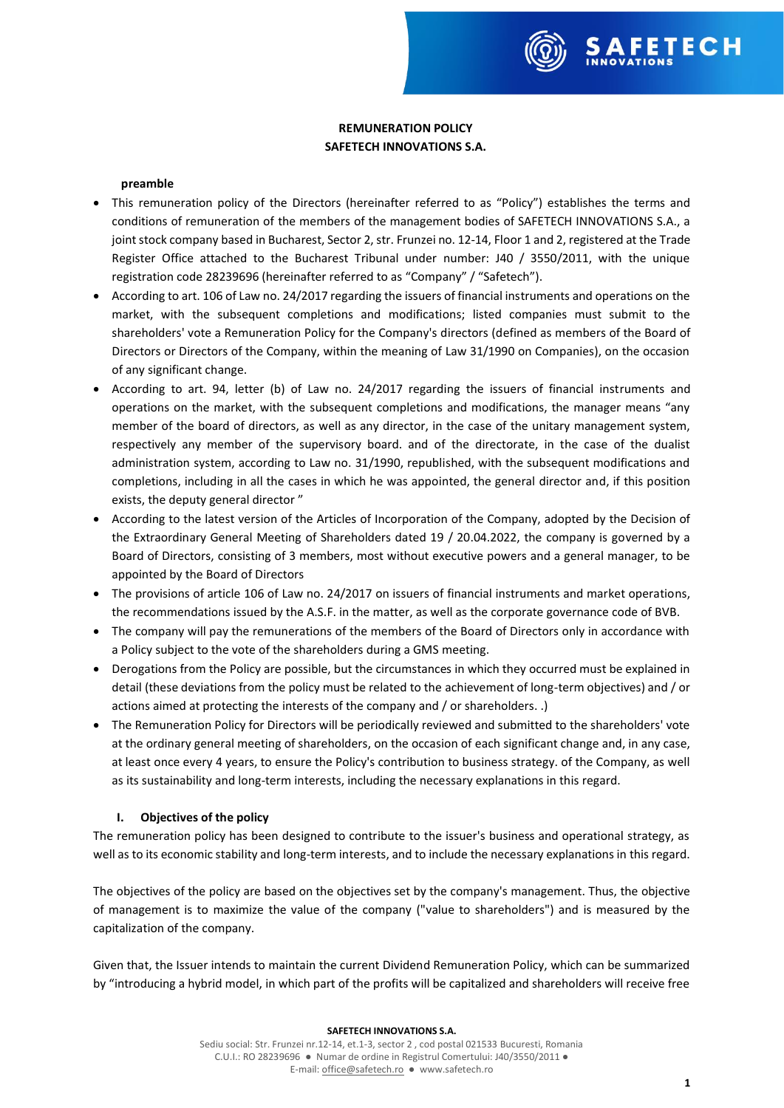# **REMUNERATION POLICY SAFETECH INNOVATIONS S.A.**

### **preamble**

- This remuneration policy of the Directors (hereinafter referred to as "Policy") establishes the terms and conditions of remuneration of the members of the management bodies of SAFETECH INNOVATIONS S.A., a joint stock company based in Bucharest, Sector 2, str. Frunzei no. 12-14, Floor 1 and 2, registered at the Trade Register Office attached to the Bucharest Tribunal under number: J40 / 3550/2011, with the unique registration code 28239696 (hereinafter referred to as "Company" / "Safetech").
- According to art. 106 of Law no. 24/2017 regarding the issuers of financial instruments and operations on the market, with the subsequent completions and modifications; listed companies must submit to the shareholders' vote a Remuneration Policy for the Company's directors (defined as members of the Board of Directors or Directors of the Company, within the meaning of Law 31/1990 on Companies), on the occasion of any significant change.
- According to art. 94, letter (b) of Law no. 24/2017 regarding the issuers of financial instruments and operations on the market, with the subsequent completions and modifications, the manager means "any member of the board of directors, as well as any director, in the case of the unitary management system, respectively any member of the supervisory board. and of the directorate, in the case of the dualist administration system, according to Law no. 31/1990, republished, with the subsequent modifications and completions, including in all the cases in which he was appointed, the general director and, if this position exists, the deputy general director "
- According to the latest version of the Articles of Incorporation of the Company, adopted by the Decision of the Extraordinary General Meeting of Shareholders dated 19 / 20.04.2022, the company is governed by a Board of Directors, consisting of 3 members, most without executive powers and a general manager, to be appointed by the Board of Directors
- The provisions of article 106 of Law no. 24/2017 on issuers of financial instruments and market operations, the recommendations issued by the A.S.F. in the matter, as well as the corporate governance code of BVB.
- The company will pay the remunerations of the members of the Board of Directors only in accordance with a Policy subject to the vote of the shareholders during a GMS meeting.
- Derogations from the Policy are possible, but the circumstances in which they occurred must be explained in detail (these deviations from the policy must be related to the achievement of long-term objectives) and / or actions aimed at protecting the interests of the company and / or shareholders. .)
- The Remuneration Policy for Directors will be periodically reviewed and submitted to the shareholders' vote at the ordinary general meeting of shareholders, on the occasion of each significant change and, in any case, at least once every 4 years, to ensure the Policy's contribution to business strategy. of the Company, as well as its sustainability and long-term interests, including the necessary explanations in this regard.

# **I. Objectives of the policy**

The remuneration policy has been designed to contribute to the issuer's business and operational strategy, as well as to its economic stability and long-term interests, and to include the necessary explanations in this regard.

The objectives of the policy are based on the objectives set by the company's management. Thus, the objective of management is to maximize the value of the company ("value to shareholders") and is measured by the capitalization of the company.

Given that, the Issuer intends to maintain the current Dividend Remuneration Policy, which can be summarized by "introducing a hybrid model, in which part of the profits will be capitalized and shareholders will receive free

#### **SAFETECH INNOVATIONS S.A.**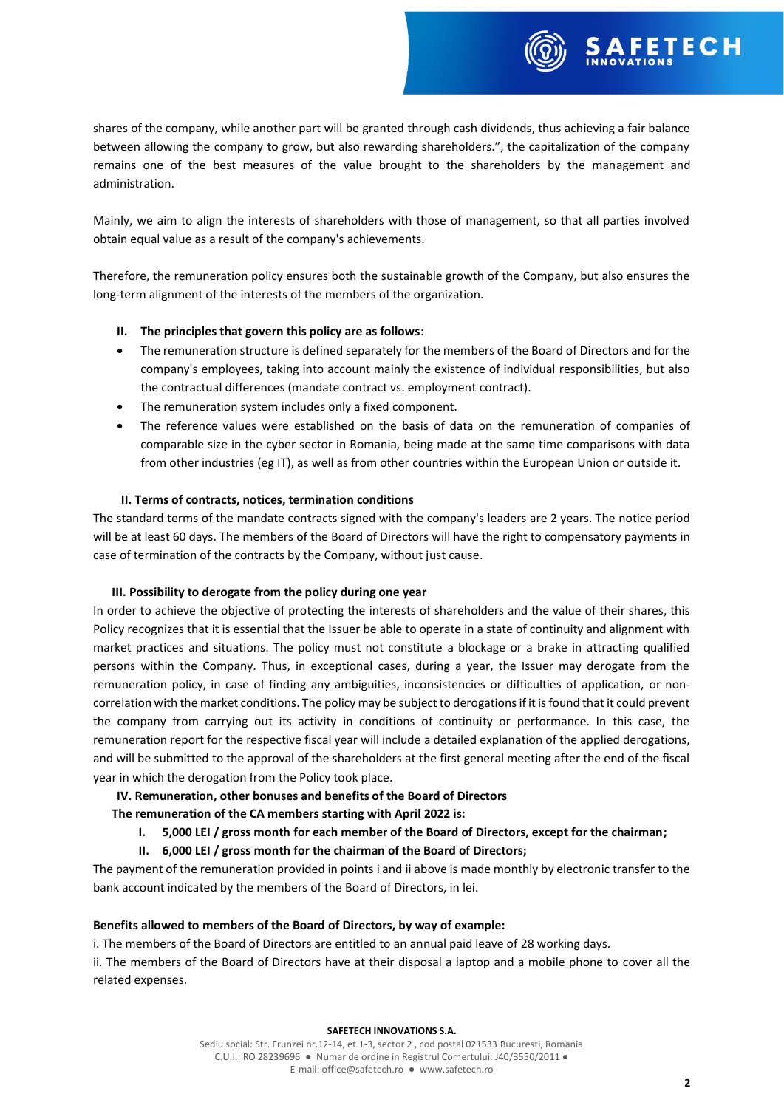shares of the company, while another part will be granted through cash dividends, thus achieving a fair balance between allowing the company to grow, but also rewarding shareholders.", the capitalization of the company remains one of the best measures of the value brought to the shareholders by the management and administration.

Mainly, we aim to align the interests of shareholders with those of management, so that all parties involved obtain equal value as a result of the company's achievements.

Therefore, the remuneration policy ensures both the sustainable growth of the Company, but also ensures the long-term alignment of the interests of the members of the organization.

# **II. The principles that govern this policy are as follows**:

- The remuneration structure is defined separately for the members of the Board of Directors and for the company's employees, taking into account mainly the existence of individual responsibilities, but also the contractual differences (mandate contract vs. employment contract).
- The remuneration system includes only a fixed component.
- The reference values were established on the basis of data on the remuneration of companies of comparable size in the cyber sector in Romania, being made at the same time comparisons with data from other industries (eg IT), as well as from other countries within the European Union or outside it.

# **II. Terms of contracts, notices, termination conditions**

The standard terms of the mandate contracts signed with the company's leaders are 2 years. The notice period will be at least 60 days. The members of the Board of Directors will have the right to compensatory payments in case of termination of the contracts by the Company, without just cause.

# **III. Possibility to derogate from the policy during one year**

In order to achieve the objective of protecting the interests of shareholders and the value of their shares, this Policy recognizes that it is essential that the Issuer be able to operate in a state of continuity and alignment with market practices and situations. The policy must not constitute a blockage or a brake in attracting qualified persons within the Company. Thus, in exceptional cases, during a year, the Issuer may derogate from the remuneration policy, in case of finding any ambiguities, inconsistencies or difficulties of application, or noncorrelation with the market conditions. The policy may be subject to derogations if it is found that it could prevent the company from carrying out its activity in conditions of continuity or performance. In this case, the remuneration report for the respective fiscal year will include a detailed explanation of the applied derogations, and will be submitted to the approval of the shareholders at the first general meeting after the end of the fiscal year in which the derogation from the Policy took place.

# **IV. Remuneration, other bonuses and benefits of the Board of Directors**

**The remuneration of the CA members starting with April 2022 is:**

- **I. 5,000 LEI / gross month for each member of the Board of Directors, except for the chairman;**
- **II. 6,000 LEI / gross month for the chairman of the Board of Directors;**

The payment of the remuneration provided in points i and ii above is made monthly by electronic transfer to the bank account indicated by the members of the Board of Directors, in lei.

# **Benefits allowed to members of the Board of Directors, by way of example:**

i. The members of the Board of Directors are entitled to an annual paid leave of 28 working days.

ii. The members of the Board of Directors have at their disposal a laptop and a mobile phone to cover all the related expenses.

### **SAFETECH INNOVATIONS S.A.**

Sediu social: Str. Frunzei nr.12-14, et.1-3, sector 2 , cod postal 021533 Bucuresti, Romania C.U.I.: RO 28239696 ● Numar de ordine in Registrul Comertului: J40/3550/2011 ● E-mail[: office@safetech.ro](mailto:office@safetech.ro) ● www.safetech.ro